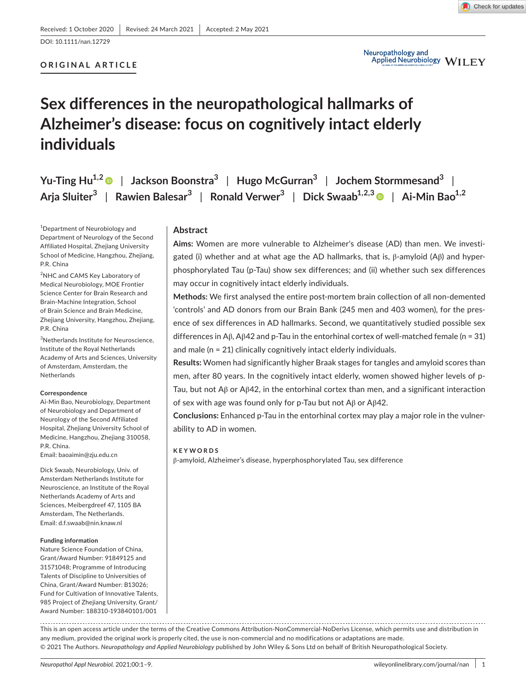DOI: 10.1111/nan.12729

# **ORIGINAL ARTICLE**

# **Sex differences in the neuropathological hallmarks of Alzheimer's disease: focus on cognitively intact elderly individuals**

|  | Yu-Ting Hu <sup>1,2</sup> $\bullet$   Jackson Boonstra <sup>3</sup>   Hugo McGurran <sup>3</sup>   Jochem Stormmesand <sup>3</sup>             |  |
|--|------------------------------------------------------------------------------------------------------------------------------------------------|--|
|  | Arja Sluiter <sup>3</sup>   Rawien Balesar <sup>3</sup>   Ronald Verwer <sup>3</sup>   Dick Swaab <sup>1,2,3</sup>   Ai-Min Bao <sup>1,2</sup> |  |

1 Department of Neurobiology and Department of Neurology of the Second Affiliated Hospital, Zhejiang University School of Medicine, Hangzhou, Zhejiang, P.R. China

2 NHC and CAMS Key Laboratory of Medical Neurobiology, MOE Frontier Science Center for Brain Research and Brain-Machine Integration, School of Brain Science and Brain Medicine, Zhejiang University, Hangzhou, Zhejiang, P.R. China

3 Netherlands Institute for Neuroscience, Institute of the Royal Netherlands Academy of Arts and Sciences, University of Amsterdam, Amsterdam, the Netherlands

#### **Correspondence**

Ai-Min Bao, Neurobiology, Department of Neurobiology and Department of Neurology of the Second Affiliated Hospital, Zhejiang University School of Medicine, Hangzhou, Zhejiang 310058, P.R. China.

Email: [baoaimin@zju.edu.cn](mailto:baoaimin@zju.edu.cn)

Dick Swaab, Neurobiology, Univ. of Amsterdam Netherlands Institute for Neuroscience, an Institute of the Royal Netherlands Academy of Arts and Sciences, Meibergdreef 47, 1105 BA Amsterdam, The Netherlands. Email: [d.f.swaab@nin.knaw.nl](mailto:d.f.swaab@nin.knaw.nl)

#### **Funding information**

Nature Science Foundation of China, Grant/Award Number: 91849125 and 31571048; Programme of Introducing Talents of Discipline to Universities of China, Grant/Award Number: B13026; Fund for Cultivation of Innovative Talents, 985 Project of Zhejiang University, Grant/ Award Number: 188310-193840101/001

## **Abstract**

**Aims:** Women are more vulnerable to Alzheimer's disease (AD) than men. We investigated (i) whether and at what age the AD hallmarks, that is,  $β$ -amyloid (A $β$ ) and hyperphosphorylated Tau (p-Tau) show sex differences; and (ii) whether such sex differences may occur in cognitively intact elderly individuals.

**Methods:** We first analysed the entire post-mortem brain collection of all non-demented 'controls' and AD donors from our Brain Bank (245 men and 403 women), for the presence of sex differences in AD hallmarks. Second, we quantitatively studied possible sex differences in Aβ, Aβ42 and p-Tau in the entorhinal cortex of well-matched female (n = 31) and male (n = 21) clinically cognitively intact elderly individuals.

**Results:** Women had significantly higher Braak stages for tangles and amyloid scores than men, after 80 years. In the cognitively intact elderly, women showed higher levels of p-Tau, but not Aβ or Aβ42, in the entorhinal cortex than men, and a significant interaction of sex with age was found only for p-Tau but not Aβ or Aβ42.

**Conclusions:** Enhanced p-Tau in the entorhinal cortex may play a major role in the vulnerability to AD in women.

#### **KEYWORDS**

β-amyloid, Alzheimer's disease, hyperphosphorylated Tau, sex difference

This is an open access article under the terms of the [Creative Commons Attribution-NonCommercial-NoDerivs](http://creativecommons.org/licenses/by-nc-nd/4.0/) License, which permits use and distribution in any medium, provided the original work is properly cited, the use is non-commercial and no modifications or adaptations are made. © 2021 The Authors. *Neuropathology and Applied Neurobiology* published by John Wiley & Sons Ltd on behalf of British Neuropathological Society.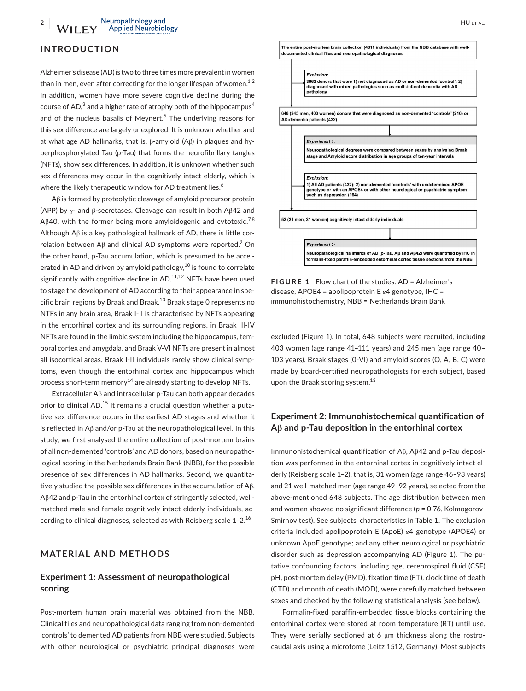## **INTRODUCTION**

Alzheimer's disease (AD) is two to three times more prevalent in women than in men, even after correcting for the longer lifespan of women. $^{1,2}$ In addition, women have more severe cognitive decline during the course of AD, $^3$  and a higher rate of atrophy both of the hippocampus $^4$ and of the nucleus basalis of Meynert.<sup>5</sup> The underlying reasons for this sex difference are largely unexplored. It is unknown whether and at what age AD hallmarks, that is, β-amyloid (Aβ) in plaques and hyperphosphorylated Tau (p-Tau) that forms the neurofibrillary tangles (NFTs), show sex differences. In addition, it is unknown whether such sex differences may occur in the cognitively intact elderly, which is where the likely therapeutic window for AD treatment lies.<sup>6</sup>

Aβ is formed by proteolytic cleavage of amyloid precursor protein (APP) by γ- and β-secretases. Cleavage can result in both Aβ42 and Aβ40, with the former being more amyloidogenic and cytotoxic.<sup>7,8</sup> Although Aβ is a key pathological hallmark of AD, there is little correlation between Aβ and clinical AD symptoms were reported. $^9$  On the other hand, p-Tau accumulation, which is presumed to be accelerated in AD and driven by amyloid pathology,  $10$  is found to correlate significantly with cognitive decline in  $AD$ ,  $11,12$  NFTs have been used to stage the development of AD according to their appearance in specific brain regions by Braak and Braak. $^{13}$  Braak stage 0 represents no NTFs in any brain area, Braak I-II is characterised by NFTs appearing in the entorhinal cortex and its surrounding regions, in Braak III-IV NFTs are found in the limbic system including the hippocampus, temporal cortex and amygdala, and Braak V-VI NFTs are present in almost all isocortical areas. Braak I-II individuals rarely show clinical symptoms, even though the entorhinal cortex and hippocampus which process short-term memory<sup>14</sup> are already starting to develop NFTs.

Extracellular Aβ and intracellular p-Tau can both appear decades prior to clinical AD.<sup>15</sup> It remains a crucial question whether a putative sex difference occurs in the earliest AD stages and whether it is reflected in Aβ and/or p-Tau at the neuropathological level. In this study, we first analysed the entire collection of post-mortem brains of all non-demented 'controls' and AD donors, based on neuropathological scoring in the Netherlands Brain Bank (NBB), for the possible presence of sex differences in AD hallmarks. Second, we quantitatively studied the possible sex differences in the accumulation of Aβ, Aβ42 and p-Tau in the entorhinal cortex of stringently selected, wellmatched male and female cognitively intact elderly individuals, according to clinical diagnoses, selected as with Reisberg scale  $1-2$ .<sup>16</sup>

# **MATERIAL AND METHODS**

# **Experiment 1: Assessment of neuropathological scoring**

Post-mortem human brain material was obtained from the NBB. Clinical files and neuropathological data ranging from non-demented 'controls' to demented AD patients from NBB were studied. Subjects with other neurological or psychiatric principal diagnoses were



**FIGURE 1** Flow chart of the studies. AD = Alzheimer's disease, APOE4 = apolipoprotein E  $\epsilon$ 4 genotype, IHC = immunohistochemistry, NBB = Netherlands Brain Bank

excluded (Figure 1). In total, 648 subjects were recruited, including 403 women (age range 41–111 years) and 245 men (age range 40– 103 years). Braak stages (0-VI) and amyloid scores (O, A, B, C) were made by board-certified neuropathologists for each subject, based upon the Braak scoring system. $^{13}$ 

# **Experiment 2: Immunohistochemical quantification of Aβ and p-Tau deposition in the entorhinal cortex**

Immunohistochemical quantification of Aβ, Aβ42 and p-Tau deposition was performed in the entorhinal cortex in cognitively intact elderly (Reisberg scale 1–2), that is, 31 women (age range 46–93 years) and 21 well-matched men (age range 49–92 years), selected from the above-mentioned 648 subjects. The age distribution between men and women showed no significant difference (*p* = 0.76, Kolmogorov-Smirnov test). See subjects' characteristics in Table 1. The exclusion criteria included apolipoprotein E (ApoE) ε4 genotype (APOE4) or unknown ApoE genotype; and any other neurological or psychiatric disorder such as depression accompanying AD (Figure 1). The putative confounding factors, including age, cerebrospinal fluid (CSF) pH, post-mortem delay (PMD), fixation time (FT), clock time of death (CTD) and month of death (MOD), were carefully matched between sexes and checked by the following statistical analysis (see below).

Formalin-fixed paraffin-embedded tissue blocks containing the entorhinal cortex were stored at room temperature (RT) until use. They were serially sectioned at 6 μm thickness along the rostrocaudal axis using a microtome (Leitz 1512, Germany). Most subjects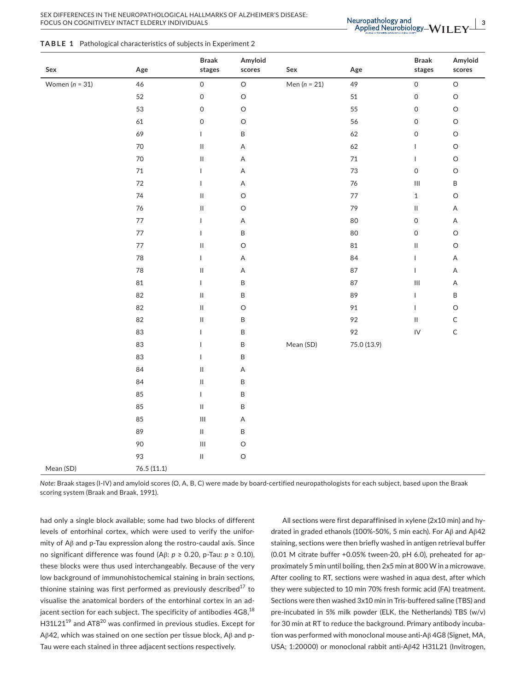|  |  | <b>TABLE 1</b> Pathological characteristics of subjects in Experiment 2 |  |  |
|--|--|-------------------------------------------------------------------------|--|--|
|--|--|-------------------------------------------------------------------------|--|--|

| ${\sf Sex}$      | Age        | <b>Braak</b><br>stages             | Amyloid<br>scores | Sex              | Age         | <b>Braak</b><br>stages             | Amyloid<br>scores |
|------------------|------------|------------------------------------|-------------------|------------------|-------------|------------------------------------|-------------------|
| Women $(n = 31)$ | 46         | 0                                  | $\hbox{O}$        | Men ( $n = 21$ ) | 49          | $\mathsf{O}\xspace$                | $\hbox{O}$        |
|                  | 52         | 0                                  | $\circ$           |                  | $51\,$      | $\mathsf{O}\xspace$                | $\circ$           |
|                  | 53         | 0                                  | $\circ$           |                  | 55          | $\mathsf{O}\xspace$                | $\hbox{O}$        |
|                  | 61         | $\mathsf O$                        | $\circ$           |                  | 56          | $\mathsf{O}\xspace$                | $\hbox{O}$        |
|                  | 69         | L                                  | $\sf B$           |                  | 62          | $\mathsf{O}\xspace$                | $\circ$           |
|                  | $70\,$     | $\sf II$                           | $\mathsf A$       |                  | 62          | $\mathbf{I}$                       | $\circ$           |
|                  | $70\,$     | $\sf II$                           | $\mathsf A$       |                  | $71\,$      | $\mathbf{I}$                       | $\circ$           |
|                  | $71\,$     | L                                  | $\mathsf A$       |                  | 73          | $\mathsf{O}\xspace$                | $\circ$           |
|                  | $72\,$     | L                                  | $\mathsf A$       |                  | $76\,$      | $\ensuremath{\mathsf{III}}\xspace$ | $\sf B$           |
|                  | 74         | $\ensuremath{\mathsf{II}}$         | $\circ$           |                  | $77$        | $\,1\,$                            | $\circ$           |
|                  | 76         | $\ensuremath{\mathsf{II}}$         | $\circ$           |                  | 79          | $\ensuremath{\mathsf{II}}$         | $\mathsf A$       |
|                  | $77\,$     | L                                  | $\mathsf A$       |                  | 80          | $\mathsf{O}\xspace$                | $\mathsf A$       |
|                  | $77\,$     | T                                  | $\sf B$           |                  | 80          | $\mathsf{O}\xspace$                | $\circ$           |
|                  | $77\,$     | $\ensuremath{\mathsf{II}}$         | $\circ$           |                  | $\bf 81$    | $\ensuremath{\mathsf{II}}$         | $\circ$           |
|                  | $78\,$     | $\mathsf{L}$                       | $\mathsf A$       |                  | 84          | $\mathsf{I}$                       | $\mathsf A$       |
|                  | 78         | $\ensuremath{\mathsf{II}}$         | $\mathsf A$       |                  | 87          | $\mathbf{I}$                       | $\mathsf A$       |
|                  | 81         | L                                  | $\sf B$           |                  | 87          | $\ensuremath{\mathsf{III}}\xspace$ | $\mathsf A$       |
|                  | 82         | $\ensuremath{\mathsf{II}}$         | $\sf B$           |                  | 89          | $\mathsf{I}$                       | $\sf B$           |
|                  | 82         | $\ensuremath{\mathsf{II}}$         | $\circ$           |                  | 91          | $\mathbf{I}$                       | $\circ$           |
|                  | 82         | $\ensuremath{\mathsf{II}}$         | $\sf B$           |                  | 92          | $\ensuremath{\mathsf{II}}$         | $\mathsf C$       |
|                  | 83         | $\mathsf{L}$                       | $\sf B$           |                  | 92          | $\mathsf{IV}$                      | $\mathsf C$       |
|                  | 83         | $\mathsf{L}$                       | $\sf B$           | Mean (SD)        | 75.0 (13.9) |                                    |                   |
|                  | 83         | T                                  | $\sf B$           |                  |             |                                    |                   |
|                  | 84         | $\ensuremath{\mathsf{II}}$         | A                 |                  |             |                                    |                   |
|                  | 84         | $\rm{II}$                          | $\sf B$           |                  |             |                                    |                   |
|                  | 85         | L                                  | $\sf B$           |                  |             |                                    |                   |
|                  | 85         | $\ensuremath{\mathsf{II}}$         | $\sf B$           |                  |             |                                    |                   |
|                  | 85         | $\ensuremath{\mathsf{III}}\xspace$ | $\mathsf A$       |                  |             |                                    |                   |
|                  | 89         | $\ensuremath{\mathsf{II}}$         | $\sf B$           |                  |             |                                    |                   |
|                  | 90         | $\ensuremath{\mathsf{III}}\xspace$ | $\circ$           |                  |             |                                    |                   |
|                  | 93         | $\ensuremath{\mathsf{II}}$         | $\circ$           |                  |             |                                    |                   |
| Mean (SD)        | 76.5(11.1) |                                    |                   |                  |             |                                    |                   |

*Note:* Braak stages (I-IV) and amyloid scores (O, A, B, C) were made by board-certified neuropathologists for each subject, based upon the Braak scoring system (Braak and Braak, 1991).

had only a single block available; some had two blocks of different levels of entorhinal cortex, which were used to verify the uniformity of Aβ and p-Tau expression along the rostro-caudal axis. Since no significant difference was found (Aβ: *p* ≥ 0.20, p-Tau: *p* ≥ 0.10), these blocks were thus used interchangeably. Because of the very low background of immunohistochemical staining in brain sections, thionine staining was first performed as previously described $^{17}$  to visualise the anatomical borders of the entorhinal cortex in an adjacent section for each subject. The specificity of antibodies  $4G8$ ,  $18$ H31L21<sup>19</sup> and AT8<sup>20</sup> was confirmed in previous studies. Except for Aβ42, which was stained on one section per tissue block, Aβ and p-Tau were each stained in three adjacent sections respectively.

All sections were first deparaffinised in xylene (2x10 min) and hydrated in graded ethanols (100%-50%, 5 min each). For Aβ and Aβ42 staining, sections were then briefly washed in antigen retrieval buffer (0.01 M citrate buffer +0.05% tween-20, pH 6.0), preheated for approximately 5 min until boiling, then 2x5 min at 800 W in a microwave. After cooling to RT, sections were washed in aqua dest, after which they were subjected to 10 min 70% fresh formic acid (FA) treatment. Sections were then washed 3x10 min in Tris-buffered saline (TBS) and pre-incubated in 5% milk powder (ELK, the Netherlands) TBS (w/v) for 30 min at RT to reduce the background. Primary antibody incubation was performed with monoclonal mouse anti-Aβ 4G8 (Signet, MA, USA; 1:20000) or monoclonal rabbit anti-Aβ42 H31L21 (Invitrogen,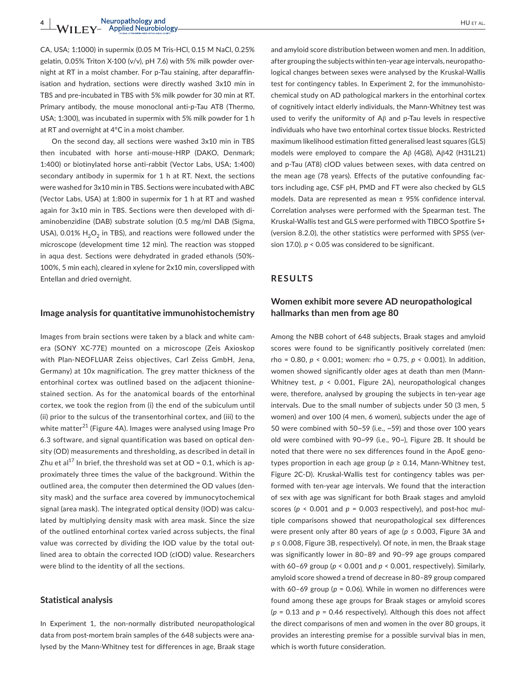CA, USA; 1:1000) in supermix (0.05 M Tris-HCl, 0.15 M NaCl, 0.25% gelatin, 0.05% Triton X-100 (v/v), pH 7.6) with 5% milk powder overnight at RT in a moist chamber. For p-Tau staining, after deparaffinisation and hydration, sections were directly washed 3x10 min in TBS and pre-incubated in TBS with 5% milk powder for 30 min at RT. Primary antibody, the mouse monoclonal anti-p-Tau AT8 (Thermo, USA; 1:300), was incubated in supermix with 5% milk powder for 1 h at RT and overnight at 4°C in a moist chamber.

On the second day, all sections were washed 3x10 min in TBS then incubated with horse anti-mouse-HRP (DAKO, Denmark; 1:400) or biotinylated horse anti-rabbit (Vector Labs, USA; 1:400) secondary antibody in supermix for 1 h at RT. Next, the sections were washed for 3x10 min in TBS. Sections were incubated with ABC (Vector Labs, USA) at 1:800 in supermix for 1 h at RT and washed again for 3x10 min in TBS. Sections were then developed with diaminobenzidine (DAB) substrate solution (0.5 mg/ml DAB (Sigma, USA), 0.01%  $H_2O_2$  in TBS), and reactions were followed under the microscope (development time 12 min). The reaction was stopped in aqua dest. Sections were dehydrated in graded ethanols (50%- 100%, 5 min each), cleared in xylene for 2x10 min, coverslipped with Entellan and dried overnight.

### **Image analysis for quantitative immunohistochemistry**

Images from brain sections were taken by a black and white camera (SONY XC-77E) mounted on a microscope (Zeis Axioskop with Plan-NEOFLUAR Zeiss objectives, Carl Zeiss GmbH, Jena, Germany) at 10x magnification. The grey matter thickness of the entorhinal cortex was outlined based on the adjacent thioninestained section. As for the anatomical boards of the entorhinal cortex, we took the region from (i) the end of the subiculum until (ii) prior to the sulcus of the transentorhinal cortex, and (iii) to the white matter<sup>21</sup> (Figure 4A). Images were analysed using Image Pro 6.3 software, and signal quantification was based on optical density (OD) measurements and thresholding, as described in detail in Zhu et al<sup>17</sup> In brief, the threshold was set at OD = 0.1, which is approximately three times the value of the background. Within the outlined area, the computer then determined the OD values (density mask) and the surface area covered by immunocytochemical signal (area mask). The integrated optical density (IOD) was calculated by multiplying density mask with area mask. Since the size of the outlined entorhinal cortex varied across subjects, the final value was corrected by dividing the IOD value by the total outlined area to obtain the corrected IOD (cIOD) value. Researchers were blind to the identity of all the sections.

### **Statistical analysis**

In Experiment 1, the non-normally distributed neuropathological data from post-mortem brain samples of the 648 subjects were analysed by the Mann-Whitney test for differences in age, Braak stage

and amyloid score distribution between women and men. In addition, after grouping the subjects within ten-year age intervals, neuropathological changes between sexes were analysed by the Kruskal-Wallis test for contingency tables. In Experiment 2, for the immunohistochemical study on AD pathological markers in the entorhinal cortex of cognitively intact elderly individuals, the Mann-Whitney test was used to verify the uniformity of Aβ and p-Tau levels in respective individuals who have two entorhinal cortex tissue blocks. Restricted maximum likelihood estimation fitted generalised least squares (GLS) models were employed to compare the Aβ (4G8), Aβ42 (H31L21) and p-Tau (AT8) cIOD values between sexes, with data centred on the mean age (78 years). Effects of the putative confounding factors including age, CSF pH, PMD and FT were also checked by GLS models. Data are represented as mean ± 95% confidence interval. Correlation analyses were performed with the Spearman test. The Kruskal-Wallis test and GLS were performed with TIBCO Spotfire S+ (version 8.2.0), the other statistics were performed with SPSS (version 17.0). *p* < 0.05 was considered to be significant.

## **RESULTS**

# **Women exhibit more severe AD neuropathological hallmarks than men from age 80**

Among the NBB cohort of 648 subjects, Braak stages and amyloid scores were found to be significantly positively correlated (men: rho = 0.80, *p* < 0.001; women: rho = 0.75, *p* < 0.001). In addition, women showed significantly older ages at death than men (Mann-Whitney test, *p* < 0.001, Figure 2A), neuropathological changes were, therefore, analysed by grouping the subjects in ten-year age intervals. Due to the small number of subjects under 50 (3 men, 5 women) and over 100 (4 men, 6 women), subjects under the age of 50 were combined with 50~59 (i.e., ~59) and those over 100 years old were combined with 90~99 (i.e., 90~), Figure 2B. It should be noted that there were no sex differences found in the ApoE genotypes proportion in each age group ( $p \ge 0.14$ , Mann-Whitney test, Figure 2C-D). Kruskal-Wallis test for contingency tables was performed with ten-year age intervals. We found that the interaction of sex with age was significant for both Braak stages and amyloid scores ( $p < 0.001$  and  $p = 0.003$  respectively), and post-hoc multiple comparisons showed that neuropathological sex differences were present only after 80 years of age (*p* ≤ 0.003, Figure 3A and *p* ≤ 0.008, Figure 3B, respectively). Of note, in men, the Braak stage was significantly lower in 80–89 and 90–99 age groups compared with 60–69 group (*p* < 0.001 and *p* < 0.001, respectively). Similarly, amyloid score showed a trend of decrease in 80–89 group compared with 60–69 group (*p* = 0.06). While in women no differences were found among these age groups for Braak stages or amyloid scores (*p* = 0.13 and *p* = 0.46 respectively). Although this does not affect the direct comparisons of men and women in the over 80 groups, it provides an interesting premise for a possible survival bias in men, which is worth future consideration.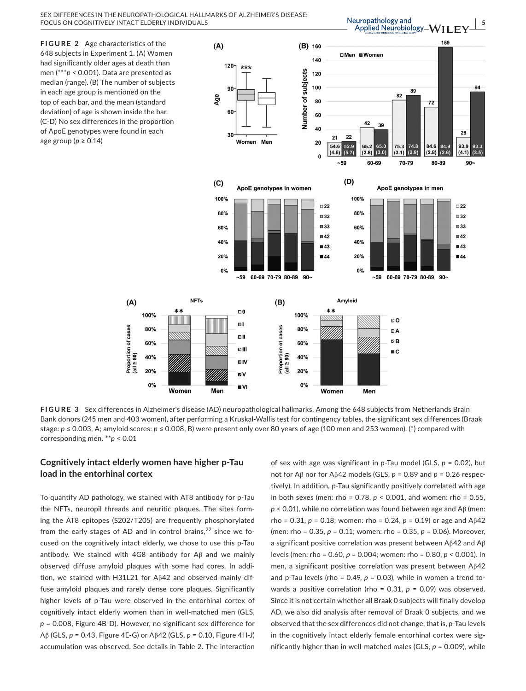Neuropathology and Applied Neurobiology-WI

 $\sqrt{}$   $\frac{5}{2}$ 

**FIGURE 2** Age characteristics of the 648 subjects in Experiment 1. (A) Women had significantly older ages at death than men (\*\*\**p* < 0.001). Data are presented as median (range). (B) The number of subjects in each age group is mentioned on the top of each bar, and the mean (standard deviation) of age is shown inside the bar. (C-D) No sex differences in the proportion of ApoE genotypes were found in each age group (*p* ≥ 0.14)





**FIGURE 3** Sex differences in Alzheimer's disease (AD) neuropathological hallmarks. Among the 648 subjects from Netherlands Brain Bank donors (245 men and 403 women), after performing a Kruskal-Wallis test for contingency tables, the significant sex differences (Braak stage: *p* ≤ 0.003, A; amyloid scores: *p* ≤ 0.008, B) were present only over 80 years of age (100 men and 253 women). (\*) compared with corresponding men. \*\**p* < 0.01

# **Cognitively intact elderly women have higher p-Tau load in the entorhinal cortex**

 $(A)$ 

To quantify AD pathology, we stained with AT8 antibody for p-Tau the NFTs, neuropil threads and neuritic plaques. The sites forming the AT8 epitopes (S202/T205) are frequently phosphorylated from the early stages of AD and in control brains, $^{22}$  since we focused on the cognitively intact elderly, we chose to use this p-Tau antibody. We stained with 4G8 antibody for Aβ and we mainly observed diffuse amyloid plaques with some had cores. In addition, we stained with H31L21 for Aβ42 and observed mainly diffuse amyloid plaques and rarely dense core plaques. Significantly higher levels of p-Tau were observed in the entorhinal cortex of cognitively intact elderly women than in well-matched men (GLS, *p* = 0.008, Figure 4B-D). However, no significant sex difference for Aβ (GLS, *p* = 0.43, Figure 4E-G) or Aβ42 (GLS, *p* = 0.10, Figure 4H-J) accumulation was observed. See details in Table 2. The interaction

of sex with age was significant in p-Tau model (GLS, *p* = 0.02), but not for Aβ nor for Aβ42 models (GLS, *p* = 0.89 and *p* = 0.26 respectively). In addition, p-Tau significantly positively correlated with age in both sexes (men: rho = 0.78, *p* < 0.001, and women: rho = 0.55, *p* < 0.01), while no correlation was found between age and Aβ (men: rho = 0.31,  $p = 0.18$ ; women: rho = 0.24,  $p = 0.19$ ) or age and Aβ42 (men: rho = 0.35, *p* = 0.11; women: rho = 0.35, *p* = 0.06). Moreover, a significant positive correlation was present between Aβ42 and Aβ levels (men: rho = 0.60, *p* = 0.004; women: rho = 0.80, *p* < 0.001). In men, a significant positive correlation was present between Aβ42 and p-Tau levels (rho =  $0.49$ ,  $p = 0.03$ ), while in women a trend towards a positive correlation (rho = 0.31, *p* = 0.09) was observed. Since it is not certain whether all Braak 0 subjects will finally develop AD, we also did analysis after removal of Braak 0 subjects, and we observed that the sex differences did not change, that is, p-Tau levels in the cognitively intact elderly female entorhinal cortex were significantly higher than in well-matched males (GLS, *p* = 0.009), while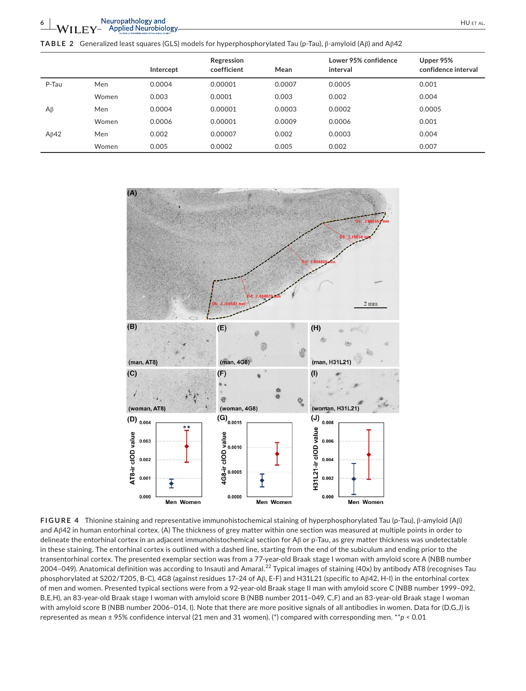**TABLE 2** Generalized least squares (GLS) models for hyperphosphorylated Tau (p-Tau), β-amyloid (Aβ) and Aβ42

|             |       | Intercept | Regression<br>coefficient | Mean   | Lower 95% confidence<br>interval | Upper 95%<br>confidence interval |
|-------------|-------|-----------|---------------------------|--------|----------------------------------|----------------------------------|
| P-Tau       | Men   | 0.0004    | 0.00001                   | 0.0007 | 0.0005                           | 0.001                            |
|             | Women | 0.003     | 0.0001                    | 0.003  | 0.002                            | 0.004                            |
| $A\beta$    | Men   | 0.0004    | 0.00001                   | 0.0003 | 0.0002                           | 0.0005                           |
|             | Women | 0.0006    | 0.00001                   | 0.0009 | 0.0006                           | 0.001                            |
| $A\beta$ 42 | Men   | 0.002     | 0.00007                   | 0.002  | 0.0003                           | 0.004                            |
|             | Women | 0.005     | 0.0002                    | 0.005  | 0.002                            | 0.007                            |



**FIGURE 4** Thionine staining and representative immunohistochemical staining of hyperphosphorylated Tau (p-Tau), β-amyloid (Aβ) and Aβ42 in human entorhinal cortex. (A) The thickness of grey matter within one section was measured at multiple points in order to delineate the entorhinal cortex in an adjacent immunohistochemical section for Aβ or p-Tau, as grey matter thickness was undetectable in these staining. The entorhinal cortex is outlined with a dashed line, starting from the end of the subiculum and ending prior to the transentorhinal cortex. The presented exemplar section was from a 77-year-old Braak stage I woman with amyloid score A (NBB number 2004–049). Anatomical definition was according to Insauti and Amaral.<sup>22</sup> Typical images of staining (40x) by antibody AT8 (recognises Tau phosphorylated at S202/T205, B-C), 4G8 (against residues 17–24 of Aβ, E-F) and H31L21 (specific to Aβ42, H-I) in the entorhinal cortex of men and women. Presented typical sections were from a 92-year-old Braak stage II man with amyloid score C (NBB number 1999–092, B,E,H), an 83-year-old Braak stage I woman with amyloid score B (NBB number 2011–049, C,F) and an 83-year-old Braak stage I woman with amyloid score B (NBB number 2006–014, I). Note that there are more positive signals of all antibodies in women. Data for (D,G,J) is represented as mean ± 95% confidence interval (21 men and 31 women). (\*) compared with corresponding men. \*\**p* < 0.01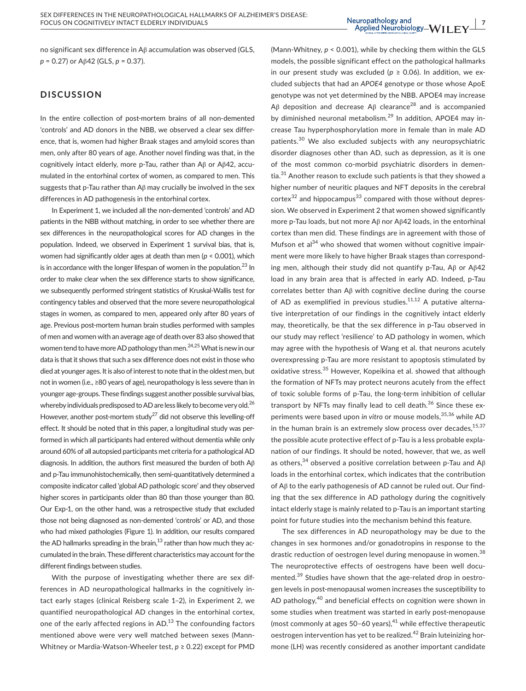Neuropathology and<br>- Applied Neurobiology-WIIFY<sup>17</sup>

no significant sex difference in Aβ accumulation was observed (GLS, *p* = 0.27) or Aβ42 (GLS, *p* = 0.37).

# **DISCUSSION**

In the entire collection of post-mortem brains of all non-demented 'controls' and AD donors in the NBB, we observed a clear sex difference, that is, women had higher Braak stages and amyloid scores than men, only after 80 years of age. Another novel finding was that, in the cognitively intact elderly, more p-Tau, rather than Aβ or Aβ42, accumulated in the entorhinal cortex of women, as compared to men. This suggests that p-Tau rather than Aβ may crucially be involved in the sex differences in AD pathogenesis in the entorhinal cortex.

In Experiment 1, we included all the non-demented 'controls' and AD patients in the NBB without matching, in order to see whether there are sex differences in the neuropathological scores for AD changes in the population. Indeed, we observed in Experiment 1 survival bias, that is, women had significantly older ages at death than men (*p* < 0.001), which is in accordance with the longer lifespan of women in the population. $^{23}$  In order to make clear when the sex difference starts to show significance, we subsequently performed stringent statistics of Kruskal-Wallis test for contingency tables and observed that the more severe neuropathological stages in women, as compared to men, appeared only after 80 years of age. Previous post-mortem human brain studies performed with samples of men and women with an average age of death over 83 also showed that women tend to have more AD pathology than men.<sup>24,25</sup> What is new in our data is that it shows that such a sex difference does not exist in those who died at younger ages. It is also of interest to note that in the oldest men, but not in women (i.e., ≥80 years of age), neuropathology is less severe than in younger age-groups. These findings suggest another possible survival bias, whereby individuals predisposed to AD are less likely to become very old.<sup>26</sup> However, another post-mortem study<sup>27</sup> did not observe this levelling-off effect. It should be noted that in this paper, a longitudinal study was performed in which all participants had entered without dementia while only around 60% of all autopsied participants met criteria for a pathological AD diagnosis. In addition, the authors first measured the burden of both Aβ and p-Tau immunohistochemically, then semi-quantitatively determined a composite indicator called 'global AD pathologic score' and they observed higher scores in participants older than 80 than those younger than 80. Our Exp-1, on the other hand, was a retrospective study that excluded those not being diagnosed as non-demented 'controls' or AD, and those who had mixed pathologies (Figure 1). In addition, our results compared the AD hallmarks spreading in the brain, $13$  rather than how much they accumulated in the brain. These different characteristics may account for the different findings between studies.

With the purpose of investigating whether there are sex differences in AD neuropathological hallmarks in the cognitively intact early stages (clinical Reisberg scale 1–2), in Experiment 2, we quantified neuropathological AD changes in the entorhinal cortex, one of the early affected regions in AD.<sup>13</sup> The confounding factors mentioned above were very well matched between sexes (Mann-Whitney or Mardia-Watson-Wheeler test, *p* ≥ 0.22) except for PMD

(Mann-Whitney, *p* < 0.001), while by checking them within the GLS models, the possible significant effect on the pathological hallmarks in our present study was excluded ( $p \ge 0.06$ ). In addition, we excluded subjects that had an *APOE4* genotype or those whose ApoE genotype was not yet determined by the NBB. APOE4 may increase Aβ deposition and decrease Aβ clearance<sup>28</sup> and is accompanied by diminished neuronal metabolism.<sup>29</sup> In addition, APOE4 may increase Tau hyperphosphorylation more in female than in male AD patients.<sup>30</sup> We also excluded subjects with any neuropsychiatric disorder diagnoses other than AD, such as depression, as it is one of the most common co-morbid psychiatric disorders in dementia.<sup>31</sup> Another reason to exclude such patients is that they showed a higher number of neuritic plaques and NFT deposits in the cerebral  $c$ ortex<sup>32</sup> and hippocampus<sup>33</sup> compared with those without depression. We observed in Experiment 2 that women showed significantly more p-Tau loads, but not more Aβ nor Aβ42 loads, in the entorhinal cortex than men did. These findings are in agreement with those of Mufson et al $^{34}$  who showed that women without cognitive impairment were more likely to have higher Braak stages than corresponding men, although their study did not quantify p-Tau, Aβ or Aβ42 load in any brain area that is affected in early AD. Indeed, p-Tau correlates better than Aβ with cognitive decline during the course of AD as exemplified in previous studies. $11,12$  A putative alternative interpretation of our findings in the cognitively intact elderly may, theoretically, be that the sex difference in p-Tau observed in our study may reflect 'resilience' to AD pathology in women, which may agree with the hypothesis of Wang et al. that neurons acutely overexpressing p-Tau are more resistant to apoptosis stimulated by oxidative stress.<sup>35</sup> However, Kopeikina et al. showed that although the formation of NFTs may protect neurons acutely from the effect of toxic soluble forms of p-Tau, the long-term inhibition of cellular transport by NFTs may finally lead to cell death.<sup>36</sup> Since these experiments were based upon *in vitro* or mouse models,<sup>35,36</sup> while AD in the human brain is an extremely slow process over decades,  $15,37$ the possible acute protective effect of p-Tau is a less probable explanation of our findings. It should be noted, however, that we, as well as others,<sup>34</sup> observed a positive correlation between p-Tau and A $\beta$ loads in the entorhinal cortex, which indicates that the contribution of Aβ to the early pathogenesis of AD cannot be ruled out. Our finding that the sex difference in AD pathology during the cognitively intact elderly stage is mainly related to p-Tau is an important starting point for future studies into the mechanism behind this feature.

The sex differences in AD neuropathology may be due to the changes in sex hormones and/or gonadotropins in response to the drastic reduction of oestrogen level during menopause in women.<sup>38</sup> The neuroprotective effects of oestrogens have been well documented.39 Studies have shown that the age-related drop in oestrogen levels in post-menopausal women increases the susceptibility to AD pathology,<sup>40</sup> and beneficial effects on cognition were shown in some studies when treatment was started in early post-menopause (most commonly at ages 50–60 years), $41$  while effective therapeutic oestrogen intervention has yet to be realized.<sup>42</sup> Brain luteinizing hormone (LH) was recently considered as another important candidate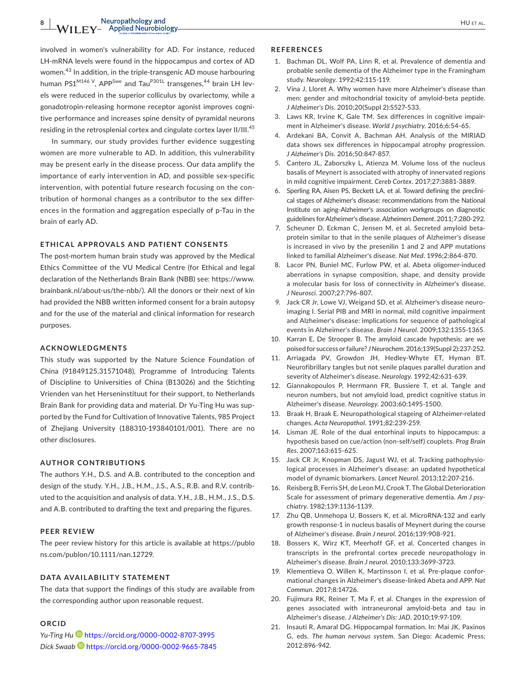involved in women's vulnerability for AD. For instance, reduced LH-mRNA levels were found in the hippocampus and cortex of AD women.43 In addition, in the triple-transgenic AD mouse harbouring human PS1<sup>M146 V</sup>, APP<sup>Swe</sup> and Tau<sup>P301L</sup> transgenes,<sup>44</sup> brain LH levels were reduced in the superior colliculus by ovariectomy, while a gonadotropin-releasing hormone receptor agonist improves cognitive performance and increases spine density of pyramidal neurons residing in the retrosplenial cortex and cingulate cortex layer II/III.<sup>45</sup>

In summary, our study provides further evidence suggesting women are more vulnerable to AD. In addition, this vulnerability may be present early in the disease process. Our data amplify the importance of early intervention in AD, and possible sex-specific intervention, with potential future research focusing on the contribution of hormonal changes as a contributor to the sex differences in the formation and aggregation especially of p-Tau in the brain of early AD.

## **ETHICAL APPROVALS AND PATIENT CONSENTS**

The post-mortem human brain study was approved by the Medical Ethics Committee of the VU Medical Centre (for Ethical and legal declaration of the Netherlands Brain Bank (NBB) see: [https://www.](https://www.brainbank.nl/about-us/the-nbb/) [brainbank.nl/about-us/the-nbb/\)](https://www.brainbank.nl/about-us/the-nbb/). All the donors or their next of kin had provided the NBB written informed consent for a brain autopsy and for the use of the material and clinical information for research purposes.

#### **ACKNOWLEDGMENTS**

This study was supported by the Nature Science Foundation of China (91849125,31571048), Programme of Introducing Talents of Discipline to Universities of China (B13026) and the Stichting Vrienden van het Herseninstituut for their support, to Netherlands Brain Bank for providing data and material. Dr Yu-Ting Hu was supported by the Fund for Cultivation of Innovative Talents, 985 Project of Zhejiang University (188310-193840101/001). There are no other disclosures.

#### **AUTHOR CONTRIBUTIONS**

The authors Y.H., D.S. and A.B. contributed to the conception and design of the study. Y.H., J.B., H.M., J.S., A.S., R.B. and R.V. contributed to the acquisition and analysis of data. Y.H., J.B., H.M., J.S., D.S. and A.B. contributed to drafting the text and preparing the figures.

#### **PEER REVIEW**

The peer review history for this article is available at [https://publo](https://publons.com/publon/10.1111/nan.12729) [ns.com/publon/10.1111/nan.12729.](https://publons.com/publon/10.1111/nan.12729)

#### **DATA AVAILABILITY STATEMENT**

The data that support the findings of this study are available from the corresponding author upon reasonable request.

#### **ORCID**

*Yu-Ting H[u](https://orcid.org/0000-0002-8707-3995)* <https://orcid.org/0000-0002-8707-3995> *Dick Swaa[b](https://orcid.org/0000-0002-9665-7845)* <https://orcid.org/0000-0002-9665-7845>

#### **REFERENCES**

- 1. Bachman DL, Wolf PA, Linn R, et al. Prevalence of dementia and probable senile dementia of the Alzheimer type in the Framingham study. *Neurology*. 1992;42:115-119.
- 2. Vina J, Lloret A. Why women have more Alzheimer's disease than men: gender and mitochondrial toxicity of amyloid-beta peptide. *J Alzheimer's Dis*. 2010;20(Suppl 2):S527-533.
- 3. Laws KR, Irvine K, Gale TM. Sex differences in cognitive impairment in Alzheimer's disease. *World J psychiatry*. 2016;6:54-65.
- 4. Ardekani BA, Convit A, Bachman AH. Analysis of the MIRIAD data shows sex differences in hippocampal atrophy progression. *J Alzheimer's Dis*. 2016;50:847-857.
- 5. Cantero JL, Zaborszky L, Atienza M. Volume loss of the nucleus basalis of Meynert is associated with atrophy of innervated regions in mild cognitive impairment. *Cereb Cortex*. 2017;27:3881-3889.
- 6. Sperling RA, Aisen PS, Beckett LA, et al. Toward defining the preclinical stages of Alzheimer's disease: recommendations from the National Institute on aging-Alzheimer's association workgroups on diagnostic guidelines for Alzheimer's disease. *Alzheimers Dement*. 2011;7:280-292.
- 7. Scheuner D, Eckman C, Jensen M, et al. Secreted amyloid betaprotein similar to that in the senile plaques of Alzheimer's disease is increased in vivo by the presenilin 1 and 2 and APP mutations linked to familial Alzheimer's disease. *Nat Med*. 1996;2:864-870.
- 8. Lacor PN, Buniel MC, Furlow PW, et al. Abeta oligomer-induced aberrations in synapse composition, shape, and density provide a molecular basis for loss of connectivity in Alzheimer's disease. *J Neurosci*. 2007;27:796-807.
- 9. Jack CR Jr, Lowe VJ, Weigand SD, et al. Alzheimer's disease neuroimaging I. Serial PIB and MRI in normal, mild cognitive impairment and Alzheimer's disease: implications for sequence of pathological events in Alzheimer's disease. *Brain J Neurol*. 2009;132:1355-1365.
- 10. Karran E, De Strooper B. The amyloid cascade hypothesis: are we poised for success or failure? *J Neurochem*. 2016;139(Suppl 2):237-252.
- 11. Arriagada PV, Growdon JH, Hedley-Whyte ET, Hyman BT. Neurofibrillary tangles but not senile plaques parallel duration and severity of Alzheimer's disease. *Neurology*. 1992;42:631-639.
- 12. Giannakopoulos P, Herrmann FR, Bussiere T, et al. Tangle and neuron numbers, but not amyloid load, predict cognitive status in Alzheimer's disease. *Neurology*. 2003;60:1495-1500.
- 13. Braak H, Braak E. Neuropathological stageing of Alzheimer-related changes. *Acta Neuropathol*. 1991;82:239-259.
- 14. Lisman JE. Role of the dual entorhinal inputs to hippocampus: a hypothesis based on cue/action (non-self/self) couplets. *Prog Brain Res*. 2007;163:615-625.
- 15. Jack CR Jr, Knopman DS, Jagust WJ, et al. Tracking pathophysiological processes in Alzheimer's disease: an updated hypothetical model of dynamic biomarkers. *Lancet Neurol*. 2013;12:207-216.
- 16. Reisberg B, Ferris SH, de Leon MJ, Crook T. The Global Deterioration Scale for assessment of primary degenerative dementia. *Am J psychiatry*. 1982;139:1136-1139.
- 17. Zhu QB, Unmehopa U, Bossers K, et al. MicroRNA-132 and early growth response-1 in nucleus basalis of Meynert during the course of Alzheimer's disease. *Brain J neurol*. 2016;139:908-921.
- 18. Bossers K, Wirz KT, Meerhoff GF, et al. Concerted changes in transcripts in the prefrontal cortex precede neuropathology in Alzheimer's disease. *Brain J neurol*. 2010;133:3699-3723.
- 19. Klementieva O, Willen K, Martinsson I, et al. Pre-plaque conformational changes in Alzheimer's disease-linked Abeta and APP. *Nat Commun*. 2017;8:14726.
- 20. Fujimura RK, Reiner T, Ma F, et al. Changes in the expression of genes associated with intraneuronal amyloid-beta and tau in Alzheimer's disease. *J Alzheimer's Dis: JAD*. 2010;19:97-109.
- 21. Insauti R, Amaral DG. Hippocampal formation. In: Mai JK, Paxinos G, eds. *The human nervous system*. San Diego: Academic Press; 2012:896-942.